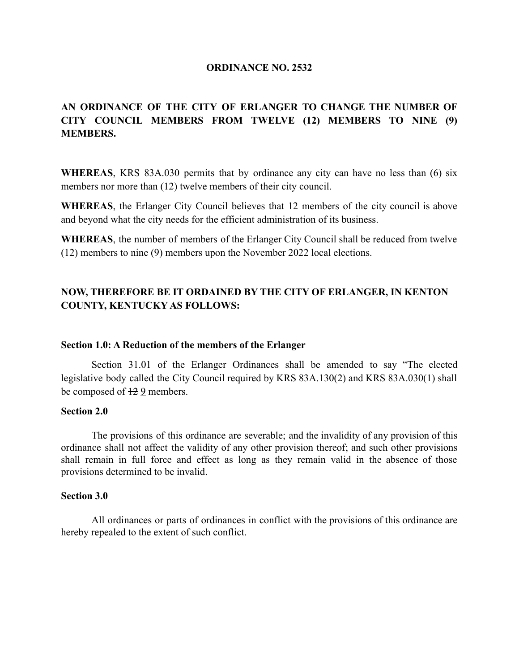### **ORDINANCE NO. 2532**

# **AN ORDINANCE OF THE CITY OF ERLANGER TO CHANGE THE NUMBER OF CITY COUNCIL MEMBERS FROM TWELVE (12) MEMBERS TO NINE (9) MEMBERS.**

**WHEREAS**, KRS 83A.030 permits that by ordinance any city can have no less than (6) six members nor more than (12) twelve members of their city council.

**WHEREAS**, the Erlanger City Council believes that 12 members of the city council is above and beyond what the city needs for the efficient administration of its business.

**WHEREAS**, the number of members of the Erlanger City Council shall be reduced from twelve (12) members to nine (9) members upon the November 2022 local elections.

# **NOW, THEREFORE BE IT ORDAINED BY THE CITY OF ERLANGER, IN KENTON COUNTY, KENTUCKY AS FOLLOWS:**

### **Section 1.0: A Reduction of the members of the Erlanger**

Section 31.01 of the Erlanger Ordinances shall be amended to say "The elected legislative body called the City Council required by KRS 83A.130(2) and KRS 83A.030(1) shall be composed of  $\frac{12}{2}$  members.

### **Section 2.0**

The provisions of this ordinance are severable; and the invalidity of any provision of this ordinance shall not affect the validity of any other provision thereof; and such other provisions shall remain in full force and effect as long as they remain valid in the absence of those provisions determined to be invalid.

### **Section 3.0**

All ordinances or parts of ordinances in conflict with the provisions of this ordinance are hereby repealed to the extent of such conflict.